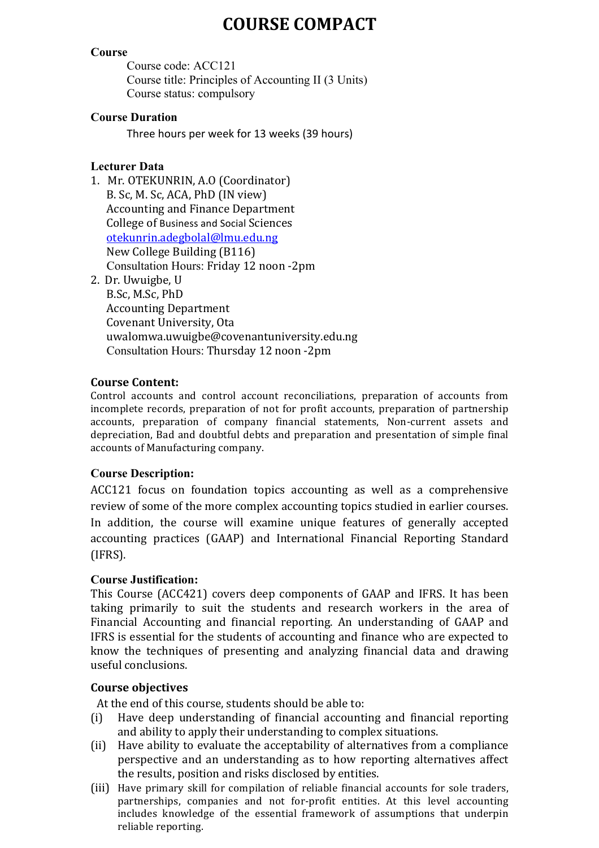# **COURSE COMPACT**

#### **Course**

Course code: ACC121 Course title: Principles of Accounting II (3 Units) Course status: compulsory

#### **Course Duration**

Three hours per week for 13 weeks (39 hours)

# **Lecturer Data**

- 1. Mr. OTEKUNRIN, A.O (Coordinator) B. Sc, M. Sc, ACA, PhD (IN view) Accounting and Finance Department College of Business and Social Sciences otekunrin.adegbolal@lmu.edu.ng New College Building (B116) Consultation Hours: Friday 12 noon -2pm
- 2. Dr. Uwuigbe, U

B.Sc, M.Sc, PhD Accounting Department Covenant University, Ota uwalomwa.uwuigbe@covenantuniversity.edu.ng Consultation Hours: Thursday 12 noon -2pm

#### **Course Content:**

Control accounts and control account reconciliations, preparation of accounts from incomplete records, preparation of not for profit accounts, preparation of partnership accounts, preparation of company financial statements, Non-current assets and depreciation, Bad and doubtful debts and preparation and presentation of simple final accounts of Manufacturing company.

# **Course Description:**

ACC121 focus on foundation topics accounting as well as a comprehensive review of some of the more complex accounting topics studied in earlier courses. In addition, the course will examine unique features of generally accepted accounting practices (GAAP) and International Financial Reporting Standard (IFRS).

# **Course Justification:**

This Course (ACC421) covers deep components of GAAP and IFRS. It has been taking primarily to suit the students and research workers in the area of Financial Accounting and financial reporting. An understanding of GAAP and IFRS is essential for the students of accounting and finance who are expected to know the techniques of presenting and analyzing financial data and drawing useful conclusions.

# **Course objectives**

At the end of this course, students should be able to:

- (i) Have deep understanding of financial accounting and financial reporting and ability to apply their understanding to complex situations.
- (ii) Have ability to evaluate the acceptability of alternatives from a compliance perspective and an understanding as to how reporting alternatives affect the results, position and risks disclosed by entities.
- (iii) Have primary skill for compilation of reliable financial accounts for sole traders, partnerships, companies and not for-profit entities. At this level accounting includes knowledge of the essential framework of assumptions that underpin reliable reporting.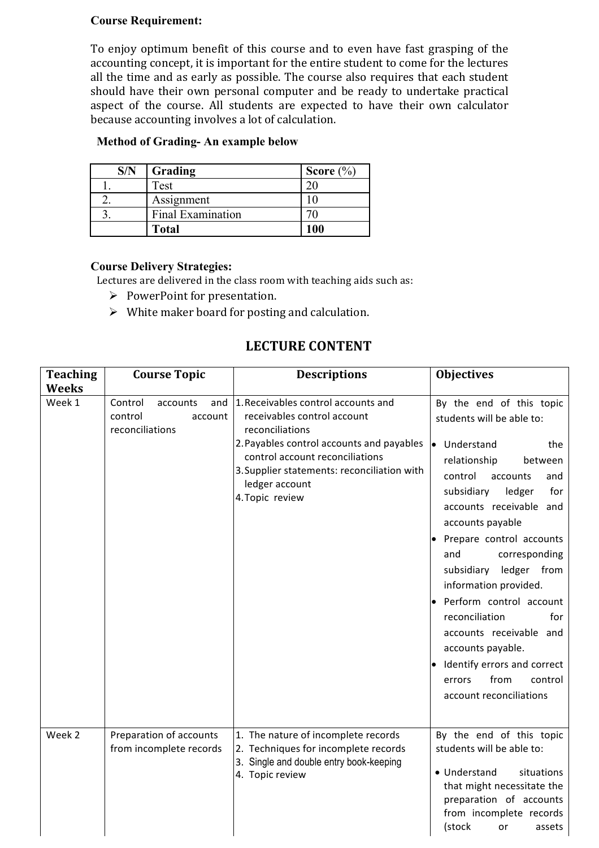#### **Course Requirement:**

To enjoy optimum benefit of this course and to even have fast grasping of the accounting concept, it is important for the entire student to come for the lectures all the time and as early as possible. The course also requires that each student should have their own personal computer and be ready to undertake practical aspect of the course. All students are expected to have their own calculator because accounting involves a lot of calculation.

# **Method of Grading- An example below**

| S/N | Grading           | Score $(\% )$ |
|-----|-------------------|---------------|
|     | Test              |               |
|     | Assignment        |               |
|     | Final Examination |               |
|     | Total             | 100           |

#### **Course Delivery Strategies:**

Lectures are delivered in the class room with teaching aids such as:

- $\triangleright$  PowerPoint for presentation.
- $\triangleright$  White maker board for posting and calculation.

# **LECTURE CONTENT**

| <b>Teaching</b> | <b>Course Topic</b>                                                 | <b>Descriptions</b>                                                                                                                                                                                                                                       | <b>Objectives</b>                                                                                                                                                                                                                                                                                                                                                                                                                                                                                                               |
|-----------------|---------------------------------------------------------------------|-----------------------------------------------------------------------------------------------------------------------------------------------------------------------------------------------------------------------------------------------------------|---------------------------------------------------------------------------------------------------------------------------------------------------------------------------------------------------------------------------------------------------------------------------------------------------------------------------------------------------------------------------------------------------------------------------------------------------------------------------------------------------------------------------------|
| <b>Weeks</b>    |                                                                     |                                                                                                                                                                                                                                                           |                                                                                                                                                                                                                                                                                                                                                                                                                                                                                                                                 |
| Week 1          | Control<br>and<br>accounts<br>control<br>account<br>reconciliations | 1. Receivables control accounts and<br>receivables control account<br>reconciliations<br>2. Payables control accounts and payables<br>control account reconciliations<br>3. Supplier statements: reconciliation with<br>ledger account<br>4. Topic review | By the end of this topic<br>students will be able to:<br>• Understand<br>the<br>relationship<br>between<br>control<br>accounts<br>and<br>subsidiary<br>ledger<br>for<br>accounts receivable<br>and<br>accounts payable<br>Prepare control accounts<br>corresponding<br>and<br>ledger from<br>subsidiary<br>information provided.<br>· Perform control account<br>reconciliation<br>for<br>accounts receivable and<br>accounts payable.<br>· Identify errors and correct<br>from<br>control<br>errors<br>account reconciliations |
| Week 2          | Preparation of accounts<br>from incomplete records                  | 1. The nature of incomplete records<br>2. Techniques for incomplete records<br>3. Single and double entry book-keeping<br>4. Topic review                                                                                                                 | By the end of this topic<br>students will be able to:<br>• Understand<br>situations<br>that might necessitate the<br>preparation of accounts<br>from incomplete records<br>(stock<br>or<br>assets                                                                                                                                                                                                                                                                                                                               |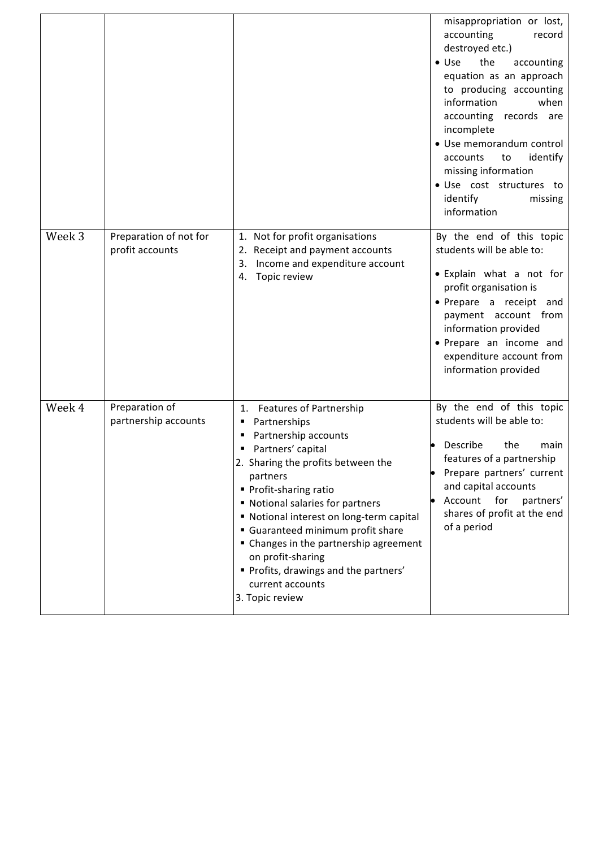|        |                                           |                                                                                                                                                                                                                                                                                                                                                                                                                                               | misappropriation or lost,<br>accounting<br>record<br>destroyed etc.)<br>the<br>$\bullet$ Use<br>accounting<br>equation as an approach<br>to producing accounting<br>information<br>when<br>accounting records are<br>incomplete<br>• Use memorandum control<br>identify<br>accounts<br>to<br>missing information<br>· Use cost structures to<br>identify<br>missing<br>information |
|--------|-------------------------------------------|-----------------------------------------------------------------------------------------------------------------------------------------------------------------------------------------------------------------------------------------------------------------------------------------------------------------------------------------------------------------------------------------------------------------------------------------------|------------------------------------------------------------------------------------------------------------------------------------------------------------------------------------------------------------------------------------------------------------------------------------------------------------------------------------------------------------------------------------|
| Week 3 | Preparation of not for<br>profit accounts | 1. Not for profit organisations<br>2. Receipt and payment accounts<br>Income and expenditure account<br>3.<br>Topic review<br>4.                                                                                                                                                                                                                                                                                                              | By the end of this topic<br>students will be able to:<br>• Explain what a not for<br>profit organisation is<br>· Prepare a receipt and<br>payment account from<br>information provided<br>• Prepare an income and<br>expenditure account from<br>information provided                                                                                                              |
| Week 4 | Preparation of<br>partnership accounts    | 1. Features of Partnership<br>Partnerships<br>٠<br>Partnership accounts<br>п<br>Partners' capital<br>2. Sharing the profits between the<br>partners<br>• Profit-sharing ratio<br>" Notional salaries for partners<br>Notional interest on long-term capital<br>Guaranteed minimum profit share<br>" Changes in the partnership agreement<br>on profit-sharing<br>" Profits, drawings and the partners'<br>current accounts<br>3. Topic review | By the end of this topic<br>students will be able to:<br>Describe<br>the<br>main<br>features of a partnership<br>Prepare partners' current<br>and capital accounts<br>for<br>Account<br>partners'<br>shares of profit at the end<br>of a period                                                                                                                                    |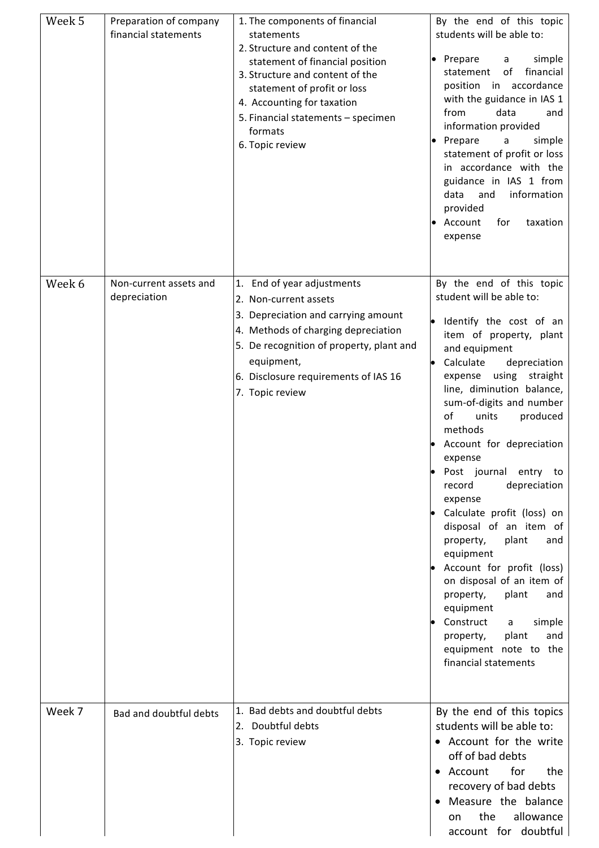| Week 5 | Preparation of company<br>financial statements | 1. The components of financial<br>statements<br>2. Structure and content of the<br>statement of financial position<br>3. Structure and content of the<br>statement of profit or loss<br>4. Accounting for taxation<br>5. Financial statements - specimen<br>formats<br>6. Topic review | By the end of this topic<br>students will be able to:<br>simple<br>Prepare<br>a<br>of<br>financial<br>statement<br>position in accordance<br>with the guidance in IAS 1<br>from<br>data<br>and<br>information provided<br>Prepare<br>simple<br>a<br>statement of profit or loss<br>in accordance with the<br>guidance in IAS 1 from<br>information<br>data<br>and<br>provided<br>for<br>Account<br>taxation<br>expense                                                                                                                                                                                                                                                                                                       |
|--------|------------------------------------------------|----------------------------------------------------------------------------------------------------------------------------------------------------------------------------------------------------------------------------------------------------------------------------------------|------------------------------------------------------------------------------------------------------------------------------------------------------------------------------------------------------------------------------------------------------------------------------------------------------------------------------------------------------------------------------------------------------------------------------------------------------------------------------------------------------------------------------------------------------------------------------------------------------------------------------------------------------------------------------------------------------------------------------|
| Week 6 | Non-current assets and<br>depreciation         | 1. End of year adjustments<br>2. Non-current assets<br>3. Depreciation and carrying amount<br>4. Methods of charging depreciation<br>5. De recognition of property, plant and<br>equipment,<br>6. Disclosure requirements of IAS 16<br>7. Topic review                                 | By the end of this topic<br>student will be able to:<br>Identify the cost of an<br>item of property, plant<br>and equipment<br>Calculate<br>depreciation<br>$\bullet$<br>using<br>straight<br>expense<br>line, diminution balance,<br>sum-of-digits and number<br>of<br>units<br>produced<br>methods<br>Account for depreciation<br>expense<br>Post journal<br>entry to<br>depreciation<br>record<br>expense<br>Calculate profit (loss) on<br>disposal of an item of<br>property,<br>plant<br>and<br>equipment<br>Account for profit (loss)<br>on disposal of an item of<br>plant<br>property,<br>and<br>equipment<br>Construct<br>simple<br>a<br>plant<br>and<br>property,<br>equipment note to the<br>financial statements |
| Week 7 | Bad and doubtful debts                         | 1. Bad debts and doubtful debts<br>2. Doubtful debts<br>3. Topic review                                                                                                                                                                                                                | By the end of this topics<br>students will be able to:<br>• Account for the write<br>off of bad debts<br>for<br>the<br>• Account<br>recovery of bad debts<br>Measure the balance<br>allowance<br>the<br>on<br>account for doubtful                                                                                                                                                                                                                                                                                                                                                                                                                                                                                           |